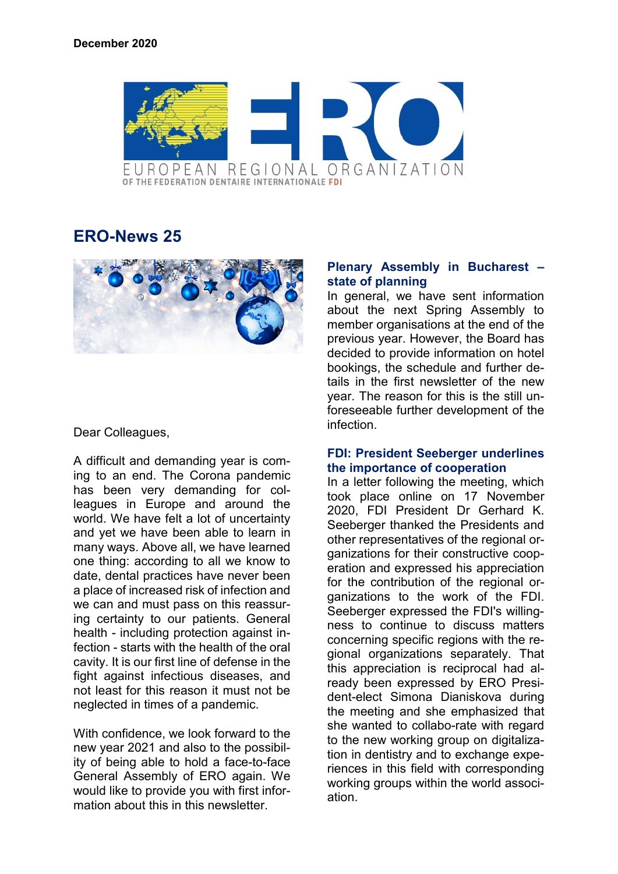

# **ERO-News 25**



## Dear Colleagues,

A difficult and demanding year is coming to an end. The Corona pandemic has been very demanding for colleagues in Europe and around the world. We have felt a lot of uncertainty and yet we have been able to learn in many ways. Above all, we have learned one thing: according to all we know to date, dental practices have never been a place of increased risk of infection and we can and must pass on this reassuring certainty to our patients. General health - including protection against infection - starts with the health of the oral cavity. It is our first line of defense in the fight against infectious diseases, and not least for this reason it must not be neglected in times of a pandemic.

With confidence, we look forward to the new year 2021 and also to the possibility of being able to hold a face-to-face General Assembly of ERO again. We would like to provide you with first information about this in this newsletter.

#### **Plenary Assembly in Bucharest – state of planning**

In general, we have sent information about the next Spring Assembly to member organisations at the end of the previous year. However, the Board has decided to provide information on hotel bookings, the schedule and further details in the first newsletter of the new year. The reason for this is the still unforeseeable further development of the infection.

#### **FDI: President Seeberger underlines the importance of cooperation**

In a letter following the meeting, which took place online on 17 November 2020, FDI President Dr Gerhard K. Seeberger thanked the Presidents and other representatives of the regional organizations for their constructive cooperation and expressed his appreciation for the contribution of the regional organizations to the work of the FDI. Seeberger expressed the FDI's willingness to continue to discuss matters concerning specific regions with the regional organizations separately. That this appreciation is reciprocal had already been expressed by ERO President-elect Simona Dianiskova during the meeting and she emphasized that she wanted to collabo-rate with regard to the new working group on digitalization in dentistry and to exchange experiences in this field with corresponding working groups within the world association.